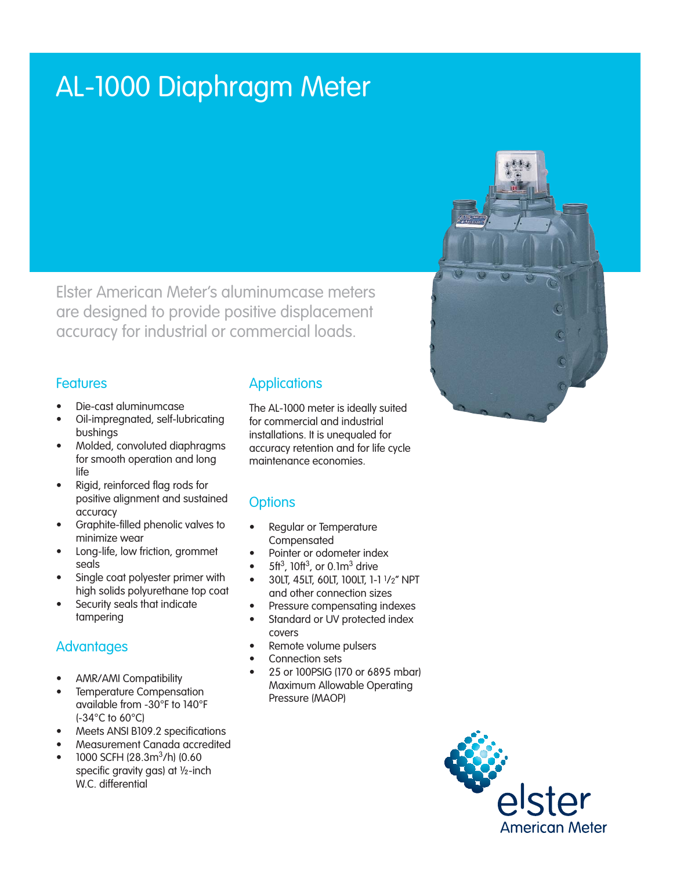# AL-1000 Diaphragm Meter

Elster American Meter's aluminumcase meters are designed to provide positive displacement accuracy for industrial or commercial loads.

#### **Features**

- Die-cast aluminumcase
- Oil-impregnated, self-lubricating bushings
- Molded, convoluted diaphragms for smooth operation and long life
- Rigid, reinforced flag rods for positive alignment and sustained accuracy
- Graphite-filled phenolic valves to minimize wear
- Long-life, low friction, grommet seals
- Single coat polyester primer with high solids polyurethane top coat
- Security seals that indicate tampering

## **Advantages**

- AMR/AMI Compatibility
- Temperature Compensation available from -30°F to 140°F (-34°C to 60°C)
- Meets ANSI B109.2 specifications
- Measurement Canada accredited
- 1000 SCFH (28.3m<sup>3</sup>/h) (0.60 specific gravity gas) at ½-inch W.C. differential

## **Applications**

The AL-1000 meter is ideally suited for commercial and industrial installations. It is unequaled for accuracy retention and for life cycle maintenance economies.

## **Options**

- Regular or Temperature Compensated
- Pointer or odometer index
- $5<sup>ft</sup>$ , 10ft<sup>3</sup>, or 0.1m<sup>3</sup> drive
- 30LT, 45LT, 60LT, 100LT, 1-1 1/2" NPT and other connection sizes
- Pressure compensating indexes
- Standard or UV protected index covers
- Remote volume pulsers
- Connection sets
- 25 or 100PSIG (170 or 6895 mbar) Maximum Allowable Operating Pressure (MAOP)